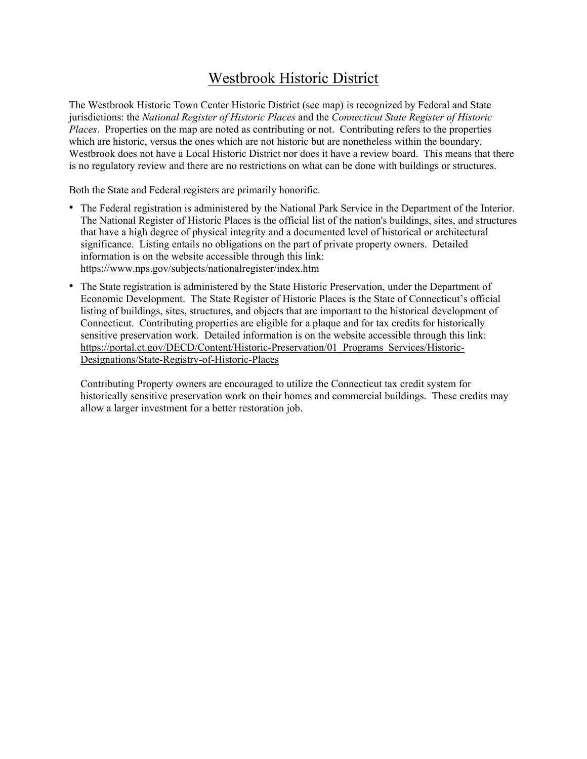## Westbrook Historic District

The Westbrook Historic Town Center Historic District (see map) is recognized by Federal and State jurisdictions: the *National Register of Historic Places* and the *Connecticut State Register of Historic Places*. Properties on the map are noted as contributing or not. Contributing refers to the properties which are historic, versus the ones which are not historic but are nonetheless within the boundary. Westbrook does not have a Local Historic District nor does it have a review board. This means that there is no regulatory review and there are no restrictions on what can be done with buildings or structures.

Both the State and Federal registers are primarily honorific.

- The Federal registration is administered by the National Park Service in the Department of the Interior. The National Register of Historic Places is the official list of the nation's buildings, sites, and structures that have a high degree of physical integrity and a documented level of historical or architectural significance. Listing entails no obligations on the part of private property owners. Detailed information is on the website accessible through this link: https://www.nps.gov/subjects/nationalregister/index.htm
- The State registration is administered by the State Historic Preservation, under the Department of Economic Development. The State Register of Historic Places is the State of Connecticut's official listing of buildings, sites, structures, and objects that are important to the historical development of Connecticut. Contributing properties are eligible for a plaque and for tax credits for historically sensitive preservation work. Detailed information is on the website accessible through this link: https://portal.ct.gov/DECD/Content/Historic-Preservation/01 Programs Services/Historic-Designations/State-Registry-of-Historic-Places

Contributing Property owners are encouraged to utilize the Connecticut tax credit system for historically sensitive preservation work on their homes and commercial buildings. These credits may allow a larger investment for a better restoration job.